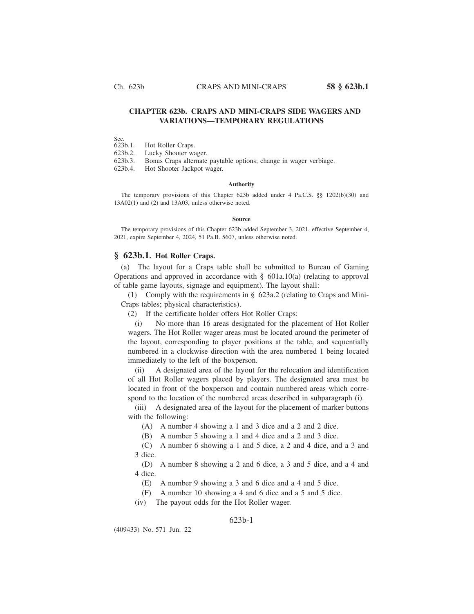# **CHAPTER 623b. CRAPS AND MINI-CRAPS SIDE WAGERS AND VARIATIONS—TEMPORARY REGULATIONS**

Sec.<br>623b.1. Hot Roller Craps.

623b.2. Lucky Shooter wager.

623b.3. Bonus Craps alternate paytable options; change in wager verbiage.

623b.4. Hot Shooter Jackpot wager.

#### **Authority**

The temporary provisions of this Chapter 623b added under 4 Pa.C.S. §§ 1202(b)(30) and 13A02(1) and (2) and 13A03, unless otherwise noted.

#### **Source**

The temporary provisions of this Chapter 623b added September 3, 2021, effective September 4, 2021, expire September 4, 2024, 51 Pa.B. 5607, unless otherwise noted.

## **§ 623b.1. Hot Roller Craps.**

(a) The layout for a Craps table shall be submitted to Bureau of Gaming Operations and approved in accordance with § 601a.10(a) (relating to approval of table game layouts, signage and equipment). The layout shall:

(1) Comply with the requirements in § 623a.2 (relating to Craps and Mini-Craps tables; physical characteristics).

(2) If the certificate holder offers Hot Roller Craps:

(i) No more than 16 areas designated for the placement of Hot Roller wagers. The Hot Roller wager areas must be located around the perimeter of the layout, corresponding to player positions at the table, and sequentially numbered in a clockwise direction with the area numbered 1 being located immediately to the left of the boxperson.

(ii) A designated area of the layout for the relocation and identification of all Hot Roller wagers placed by players. The designated area must be located in front of the boxperson and contain numbered areas which correspond to the location of the numbered areas described in subparagraph (i).

(iii) A designated area of the layout for the placement of marker buttons with the following:

(A) A number 4 showing a 1 and 3 dice and a 2 and 2 dice.

(B) A number 5 showing a 1 and 4 dice and a 2 and 3 dice.

(C) A number 6 showing a 1 and 5 dice, a 2 and 4 dice, and a 3 and 3 dice.

(D) A number 8 showing a 2 and 6 dice, a 3 and 5 dice, and a 4 and 4 dice.

- (E) A number 9 showing a 3 and 6 dice and a 4 and 5 dice.
- (F) A number 10 showing a 4 and 6 dice and a 5 and 5 dice.
- (iv) The payout odds for the Hot Roller wager.

### 623b-1

(409433) No. 571 Jun. 22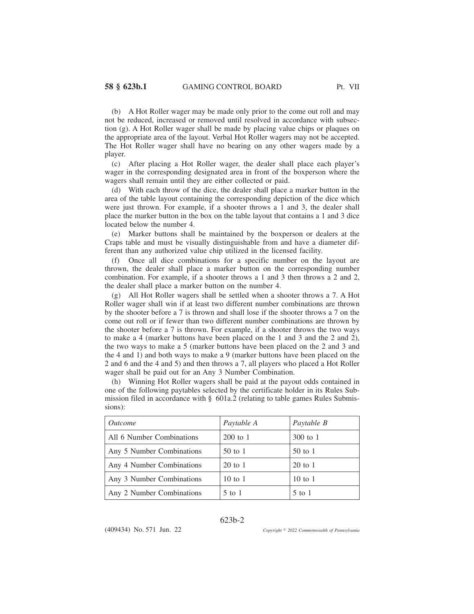(b) A Hot Roller wager may be made only prior to the come out roll and may not be reduced, increased or removed until resolved in accordance with subsection (g). A Hot Roller wager shall be made by placing value chips or plaques on the appropriate area of the layout. Verbal Hot Roller wagers may not be accepted. The Hot Roller wager shall have no bearing on any other wagers made by a player.

(c) After placing a Hot Roller wager, the dealer shall place each player's wager in the corresponding designated area in front of the boxperson where the wagers shall remain until they are either collected or paid.

(d) With each throw of the dice, the dealer shall place a marker button in the area of the table layout containing the corresponding depiction of the dice which were just thrown. For example, if a shooter throws a 1 and 3, the dealer shall place the marker button in the box on the table layout that contains a 1 and 3 dice located below the number 4.

(e) Marker buttons shall be maintained by the boxperson or dealers at the Craps table and must be visually distinguishable from and have a diameter different than any authorized value chip utilized in the licensed facility.

(f) Once all dice combinations for a specific number on the layout are thrown, the dealer shall place a marker button on the corresponding number combination. For example, if a shooter throws a 1 and 3 then throws a 2 and 2, the dealer shall place a marker button on the number 4.

(g) All Hot Roller wagers shall be settled when a shooter throws a 7. A Hot Roller wager shall win if at least two different number combinations are thrown by the shooter before a 7 is thrown and shall lose if the shooter throws a 7 on the come out roll or if fewer than two different number combinations are thrown by the shooter before a 7 is thrown. For example, if a shooter throws the two ways to make a 4 (marker buttons have been placed on the 1 and 3 and the 2 and 2), the two ways to make a 5 (marker buttons have been placed on the 2 and 3 and the 4 and 1) and both ways to make a 9 (marker buttons have been placed on the 2 and 6 and the 4 and 5) and then throws a 7, all players who placed a Hot Roller wager shall be paid out for an Any 3 Number Combination.

(h) Winning Hot Roller wagers shall be paid at the payout odds contained in one of the following paytables selected by the certificate holder in its Rules Submission filed in accordance with § 601a.2 (relating to table games Rules Submissions):

| <i><u>Outcome</u></i>     | Paytable A | Paytable B |
|---------------------------|------------|------------|
| All 6 Number Combinations | $200$ to 1 | $300$ to 1 |
| Any 5 Number Combinations | $50$ to 1  | $50$ to 1  |
| Any 4 Number Combinations | $20$ to 1  | $20$ to 1  |
| Any 3 Number Combinations | 10 to 1    | 10 to 1    |
| Any 2 Number Combinations | $5$ to 1   | $5$ to 1   |

### 623b-2

(409434) No. 571 Jun. 22

*2022 Commonwealth of Pennsylvania*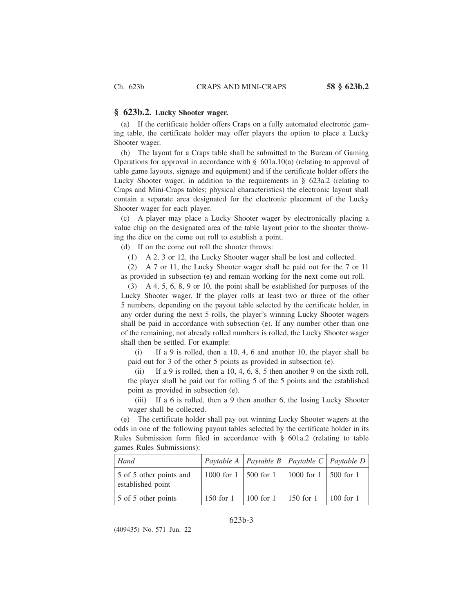#### **§ 623b.2. Lucky Shooter wager.**

(a) If the certificate holder offers Craps on a fully automated electronic gaming table, the certificate holder may offer players the option to place a Lucky Shooter wager.

(b) The layout for a Craps table shall be submitted to the Bureau of Gaming Operations for approval in accordance with  $\S$  601a.10(a) (relating to approval of table game layouts, signage and equipment) and if the certificate holder offers the Lucky Shooter wager, in addition to the requirements in § 623a.2 (relating to Craps and Mini-Craps tables; physical characteristics) the electronic layout shall contain a separate area designated for the electronic placement of the Lucky Shooter wager for each player.

(c) A player may place a Lucky Shooter wager by electronically placing a value chip on the designated area of the table layout prior to the shooter throwing the dice on the come out roll to establish a point.

(d) If on the come out roll the shooter throws:

(1) A 2, 3 or 12, the Lucky Shooter wager shall be lost and collected.

(2) A 7 or 11, the Lucky Shooter wager shall be paid out for the 7 or 11 as provided in subsection (e) and remain working for the next come out roll.

(3) A 4, 5, 6, 8, 9 or 10, the point shall be established for purposes of the Lucky Shooter wager. If the player rolls at least two or three of the other 5 numbers, depending on the payout table selected by the certificate holder, in any order during the next 5 rolls, the player's winning Lucky Shooter wagers shall be paid in accordance with subsection (e). If any number other than one of the remaining, not already rolled numbers is rolled, the Lucky Shooter wager shall then be settled. For example:

(i) If a 9 is rolled, then a 10, 4, 6 and another 10, the player shall be paid out for 3 of the other 5 points as provided in subsection (e).

(ii) If a 9 is rolled, then a 10, 4, 6, 8, 5 then another 9 on the sixth roll, the player shall be paid out for rolling 5 of the 5 points and the established point as provided in subsection (e).

(iii) If a 6 is rolled, then a 9 then another 6, the losing Lucky Shooter wager shall be collected.

(e) The certificate holder shall pay out winning Lucky Shooter wagers at the odds in one of the following payout tables selected by the certificate holder in its Rules Submission form filed in accordance with § 601a.2 (relating to table games Rules Submissions):

| Hand                                         |                            |             |                        | $\vert$ Paytable A $\vert$ Paytable B $\vert$ Paytable C $\vert$ Paytable D $\vert$ |
|----------------------------------------------|----------------------------|-------------|------------------------|-------------------------------------------------------------------------------------|
| 5 of 5 other points and<br>established point | 1000 for $1$   500 for $1$ |             | 1000 for 1   500 for 1 |                                                                                     |
| 5 of 5 other points                          | $150$ for 1                | $100$ for 1 | $150$ for 1            | $\vert$ 100 for 1                                                                   |

### 623b-3

(409435) No. 571 Jun. 22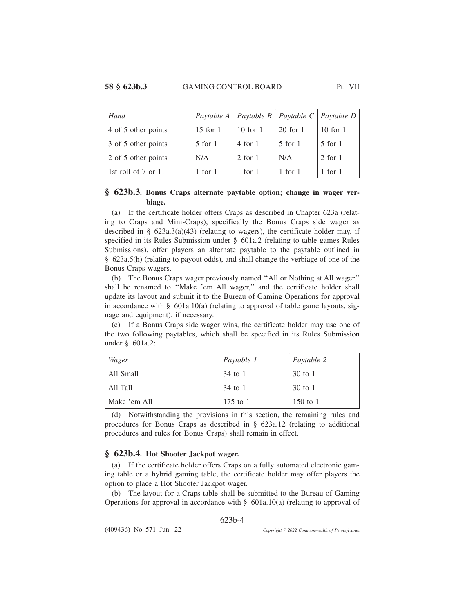| Hand                |              | Paytable A   Paytable B   Paytable C   Paytable D |             |              |
|---------------------|--------------|---------------------------------------------------|-------------|--------------|
| 4 of 5 other points | $15$ for $1$ | $10$ for $1$                                      | 20 for 1    | $10$ for $1$ |
| 3 of 5 other points | $5$ for $1$  | $4$ for $1$                                       | $5$ for $1$ | $5$ for $1$  |
| 2 of 5 other points | N/A          | $2$ for $1$                                       | N/A         | $2$ for $1$  |
| 1st roll of 7 or 11 | $1$ for $1$  | $1$ for $1$                                       | 1 for 1     | $1$ for $1$  |

# **§ 623b.3. Bonus Craps alternate paytable option; change in wager verbiage.**

(a) If the certificate holder offers Craps as described in Chapter 623a (relating to Craps and Mini-Craps), specifically the Bonus Craps side wager as described in §  $623a.3(a)(43)$  (relating to wagers), the certificate holder may, if specified in its Rules Submission under § 601a.2 (relating to table games Rules Submissions), offer players an alternate paytable to the paytable outlined in § 623a.5(h) (relating to payout odds), and shall change the verbiage of one of the Bonus Craps wagers.

(b) The Bonus Craps wager previously named ''All or Nothing at All wager'' shall be renamed to ''Make 'em All wager,'' and the certificate holder shall update its layout and submit it to the Bureau of Gaming Operations for approval in accordance with  $\S$  601a.10(a) (relating to approval of table game layouts, signage and equipment), if necessary.

(c) If a Bonus Craps side wager wins, the certificate holder may use one of the two following paytables, which shall be specified in its Rules Submission under § 601a.2:

| Wager        | Paytable 1 | Paytable 2 |
|--------------|------------|------------|
| All Small    | 34 to 1    | 30 to 1    |
| All Tall     | 34 to 1    | 30 to 1    |
| Make 'em All | $175$ to 1 | 150 to 1   |

(d) Notwithstanding the provisions in this section, the remaining rules and procedures for Bonus Craps as described in § 623a.12 (relating to additional procedures and rules for Bonus Craps) shall remain in effect.

### **§ 623b.4. Hot Shooter Jackpot wager.**

(a) If the certificate holder offers Craps on a fully automated electronic gaming table or a hybrid gaming table, the certificate holder may offer players the option to place a Hot Shooter Jackpot wager.

(b) The layout for a Craps table shall be submitted to the Bureau of Gaming Operations for approval in accordance with § 601a.10(a) (relating to approval of

623b-4

*2022 Commonwealth of Pennsylvania*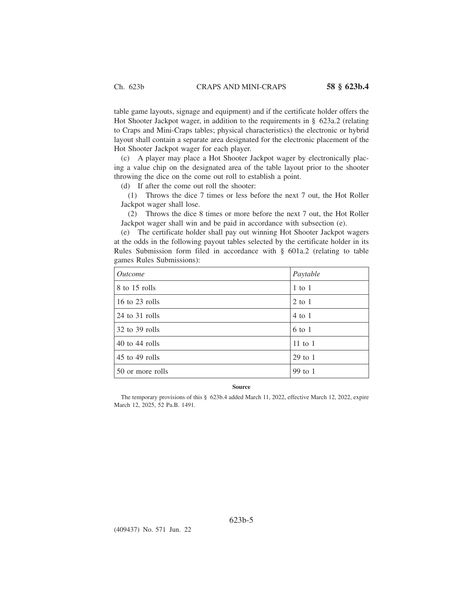table game layouts, signage and equipment) and if the certificate holder offers the Hot Shooter Jackpot wager, in addition to the requirements in § 623a.2 (relating to Craps and Mini-Craps tables; physical characteristics) the electronic or hybrid layout shall contain a separate area designated for the electronic placement of the Hot Shooter Jackpot wager for each player.

(c) A player may place a Hot Shooter Jackpot wager by electronically placing a value chip on the designated area of the table layout prior to the shooter throwing the dice on the come out roll to establish a point.

(d) If after the come out roll the shooter:

(1) Throws the dice 7 times or less before the next 7 out, the Hot Roller Jackpot wager shall lose.

(2) Throws the dice 8 times or more before the next 7 out, the Hot Roller Jackpot wager shall win and be paid in accordance with subsection (e).

(e) The certificate holder shall pay out winning Hot Shooter Jackpot wagers at the odds in the following payout tables selected by the certificate holder in its Rules Submission form filed in accordance with § 601a.2 (relating to table games Rules Submissions):

| <i><u>Outcome</u></i> | Paytable    |
|-----------------------|-------------|
| 8 to 15 rolls         | $1$ to $1$  |
| 16 to 23 rolls        | $2$ to $1$  |
| 24 to 31 rolls        | $4$ to 1    |
| $32$ to $39$ rolls    | 6 to 1      |
| $40$ to $44$ rolls    | $11$ to $1$ |
| $45$ to $49$ rolls    | $29$ to 1   |
| 50 or more rolls      | 99 to 1     |

#### **Source**

The temporary provisions of this § 623b.4 added March 11, 2022, effective March 12, 2022, expire March 12, 2025, 52 Pa.B. 1491.